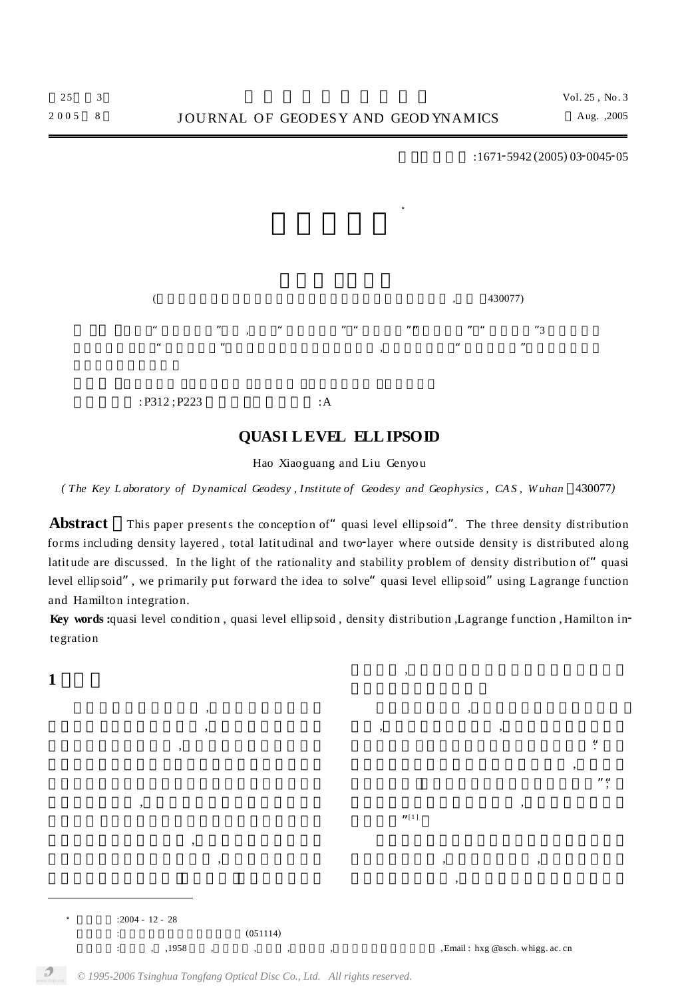":

"";

,

 $:1671 - 5942(2005) 03 - 0045 - 05$ 



:P312 ; P223 : A

## **QUASI LEVEL ELLIPSOID**

Hao Xiaoguang and Liu Genyou

(The Key Laboratory of Dynamical Geodesy, Institute of Geodesy and Geophysics, CAS, Wuhan 430077)

Abstract This paper presents the conception of" quasi level ellipsoid". The three density distribution forms including density layered, total latitudinal and two-layer where outside density is distributed along latitude are discussed. In the light of the rationality and stability problem of density distribution of" quasi level ellipsoid", we primarily put forward the idea to solve" quasi level ellipsoid" using Lagrange function and Hamilton integration.

Key words :quasi level condition, quasi level ellip soid, density distribution, Lagrange function, Hamilton integration

,

 $"$ [1]

,

, ,

**1**

 $: 2004 - 12 - 28$  $(051114)$ : , ,1958 , , , , ,Email : hxg @asch. whigg. ac. cn

,

,

, ,

,

,

, ,

,

,

*© 1995-2006 Tsinghua Tongfang Optical Disc Co., Ltd. All rights reserved.*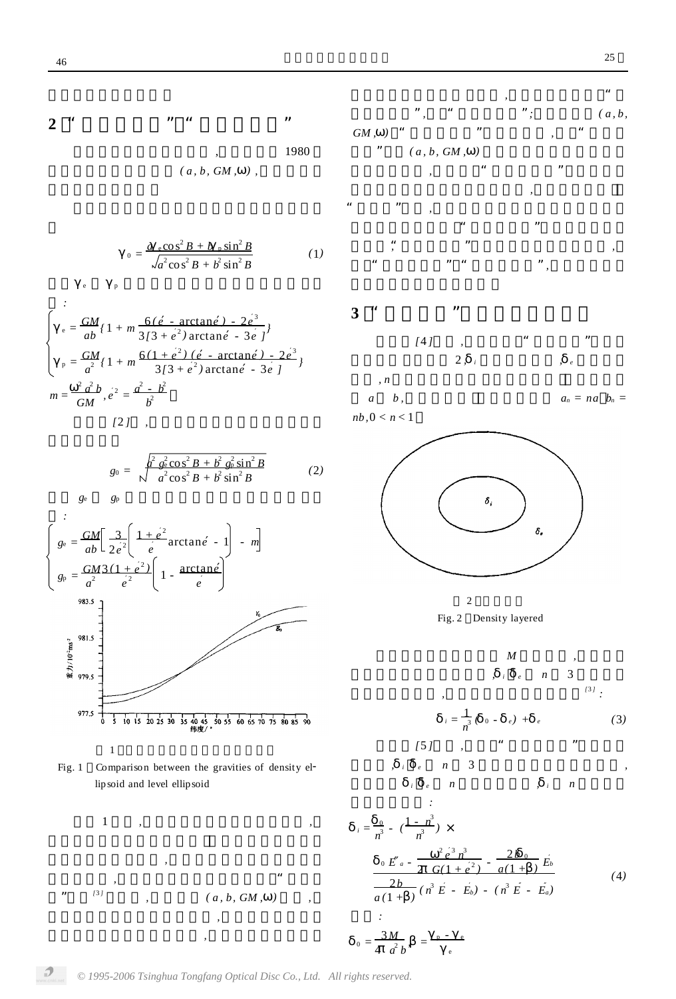2 " " " " " " " "   
1980  

$$
(a, b, GM, )
$$
,

$$
_{0} = \frac{a \cos^{2} B + b \sin^{2} B}{\sqrt{a^{2} \cos^{2} B + b^{2} \sin^{2} B}}
$$
(1)

$$
\begin{cases}\n\frac{1}{e} = \frac{GM}{ab} \left(1 + m \frac{6(e - \arctan e) - 2e^3}{3[3 + e^2) \arctan e - 3e}\right) \\
\frac{GM}{a^2} \left(1 + m \frac{6(1 + e^2)(e - \arctan e) - 2e^3}{3[3 + e^2) \arctan e - 3e}\right) \\
m = \frac{2a^2 b}{GM}, e^2 = \frac{a^2 - b^2}{b^2}\n\end{cases}
$$
\n[2]

$$
g_0 = \sqrt{\frac{a^2 g_0^2 \cos^2 B + b^2 g_0^2 \sin^2 B}{a^2 \cos^2 B + b^2 \sin^2 B}}
$$
 (2)

*g*<sup>e</sup> *g*<sup>p</sup>

e p





1 *, , , ,* " " *[*<sup>3</sup> *] , ( a , b, GM , ) ,*

*,* "  $(a, b, c)$ *GM , )* " " *,* " "  $(a, b, GM, )$ 

*,* " " *,* " " *,* " " "*,* " *,* " " " "*,*

**3** " " *[*4 *] ,* " " 2 *, <sup>i</sup> , <sup>e</sup> , n*

 $a_n = na_b$ ,  $a_n = na_b$ *nb,*0 < *n* < 1



2 Fig. 2 Density layered



*, ,*

 $\mathcal{D}$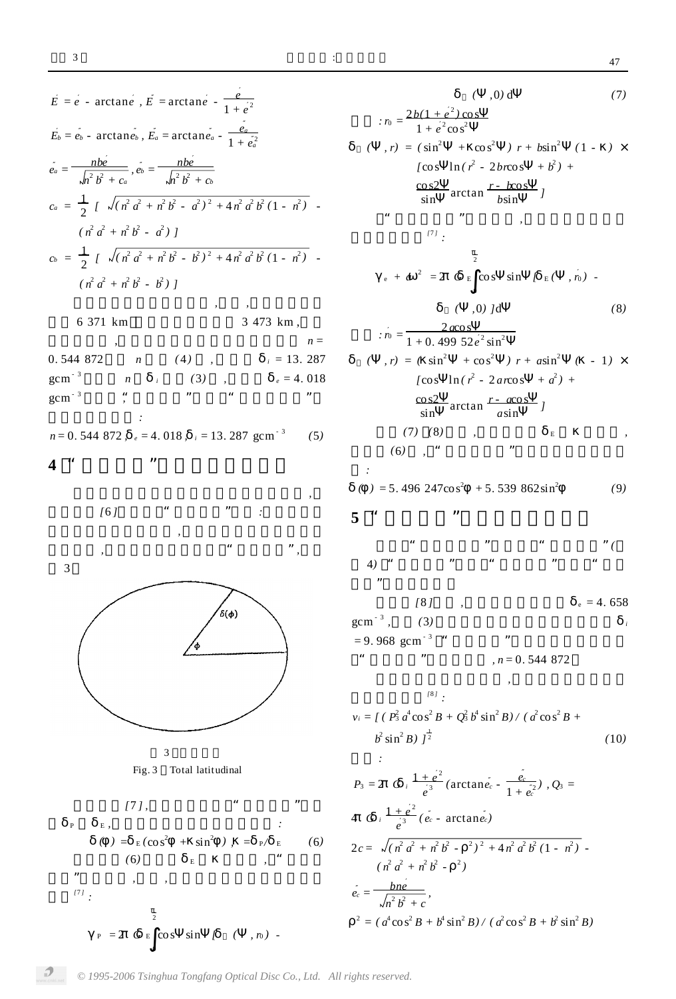$\frac{i}{i}$ 

$$
E = e - \arctan e, E = \arctan e - \frac{e}{1 + e^2}
$$
\n
$$
E_b = e_b - \arctan e_b, E_a = \arctan e_a - \frac{e_a}{1 + e_a^2}
$$
\n
$$
e_a = \frac{hbe}{\sqrt{h^2 b^2 + c_a}}, e_b = \frac{hbe}{\sqrt{h^2 b^2 + c_b}}
$$
\n
$$
c_a = \frac{1}{2} \int \sqrt{(h^2 a^2 + h^2 b^2 - a^2)^2 + 4h^2 a^2 b^2 (1 - h^2)}
$$
\n
$$
(n^2 a^2 + n^2 b^2 - a^2) \int
$$
\n
$$
c_b = \frac{1}{2} \int \sqrt{(h^2 a^2 + h^2 b^2 - b^2)^2 + 4h^2 a^2 b^2 (1 - h^2)}
$$
\n
$$
(n^2 a^2 + n^2 b^2 - b^2) \int
$$
\n
$$
6 \text{ 371 km}
$$
\n
$$
3 \text{ 473 km}, n = \frac{1}{(a^2 a^2 + a^2 b^2 - b^2)^2}
$$
\n
$$
n = 13.287
$$
\n
$$
gcm^{-3}
$$
\n
$$
n = 0.544 872, e = 4.018, i = 13.287
$$
\n
$$
gcm^{-3}
$$
\n
$$
n = 0.544 872, e = 4.018, i = 13.287
$$
\n
$$
gcm^{-3}
$$
\n
$$
n = 0.544 872, e = 4.018, i = 13.287
$$
\n
$$
gcm^{-3}
$$
\n
$$
n = \frac{1}{(a^2 a^2 + a^2 b^2 - a^2)^2}
$$
\n
$$
n = \frac{1}{(a^2 a^2 + a^2 b^2 - a^2)^2}
$$
\n
$$
n = 13.287
$$
\n
$$
n = 0.544 872, e = 4.018, i = 13.287
$$
\n
$$
n = \frac{8}{(a)}
$$
\n
$$
n = \frac{8}{(b)}
$$
\n
$$
n = \
$$

Fig. 3 Total latitudinal

$$
[7], \t" " " "
$$
  
\nP E,  
\n
$$
() = E(cos^{2} + sin^{2} ), = P/E
$$
\n(6)  
\n
$$
P = 2 G E cos sin [ ( , n) -
$$

 $\,0\,$ 

 $( 0, 0)$  d  $(7)$ :  $r_0 = \frac{2b(1+e^2)\cos 1}{1+e^2\cos^2 1}$  $(r, r) = (sin^2 + cos^2) r + bsin^2 (1 - x)$  $\int \cos \theta \ln(r^2 - 2b\cos \theta + b^2) +$  $\frac{\cos 2}{\sin} \arctan \frac{r - k \cos}{b \sin} j$  $\epsilon\epsilon$ ,,  $\frac{171}{17}$  $\overline{2}$  $_{e}$  +  $a^{2}$  = 2  $G$  E cos sin  $[E(-, n)]$  - $\overline{\phantom{0}}$  $( 0, 0)$  Jd  $(8)$ :  $r_0 = \frac{2 a \cos \theta}{1 + 0.49952 e^2 \sin^2 \theta}$  $(r, r) = (sin<sup>2</sup> + cos<sup>2</sup>) r + asin<sup>2</sup>$  ( - 1) x [cos  $\ln(r^2 - 2ar\cos + a^2)$  +  $\frac{\cos 2}{\sin} \arctan \frac{r - a \cos}{a \sin} j$  $(7) \quad (8) \qquad ,$  $E$  $\overline{\phantom{a}}$  , ,,  $(6)$ , "  $\mathcal{L}^{\mathcal{L}}$  $( ) = 5.496 \, 247 \cos^2 \theta + 5.539 \, 862 \sin^2 \theta$  $(9)$  $5<sup>4</sup>$ ,,  $"\$  (  $4)$  $\sqrt{8}$  $_e = 4.658$  $\ddot{\phantom{a}}$ 

 $\text{gcm}^{-3}$ ,  $(3)$ ,,  $= 9.968$  gcm<sup>-3</sup> "  $\alpha$  $n = 0.544872$  $\overline{\phantom{a}}$ 

$$
v_i = \int (P_3^2 a^4 \cos^2 B + Q_3^2 b^4 \sin^2 B) / (a^2 \cos^2 B + b^2 \sin^2 B) \Big|_2^2
$$
 (10)

 $\sim$   $\omega$ 

$$
P_3 = 2 \t G_i \frac{1+e^2}{e^3} (\arctan e_c - \frac{e_c}{1+e_c^2}), Q_3 =
$$
  
\n4  $G_i \frac{1+e^2}{e^3} (e_c - \arctan e_c)$   
\n
$$
2c = \sqrt{(n^2 a^2 + n^2 b^2 - \frac{2}{e^2})^2 + 4n^2 a^2 b^2 (1 - n^2)} -
$$
  
\n
$$
(n^2 a^2 + n^2 b^2 - \frac{2}{e^2})
$$
  
\n
$$
e_c = \frac{bne}{\sqrt{n^2 b^2 + c}},
$$
  
\n
$$
2 = (a^4 \cos^2 B + b^4 \sin^2 B) / (a^2 \cos^2 B + b^2 \sin^2 B)
$$

 $\mathcal{D}$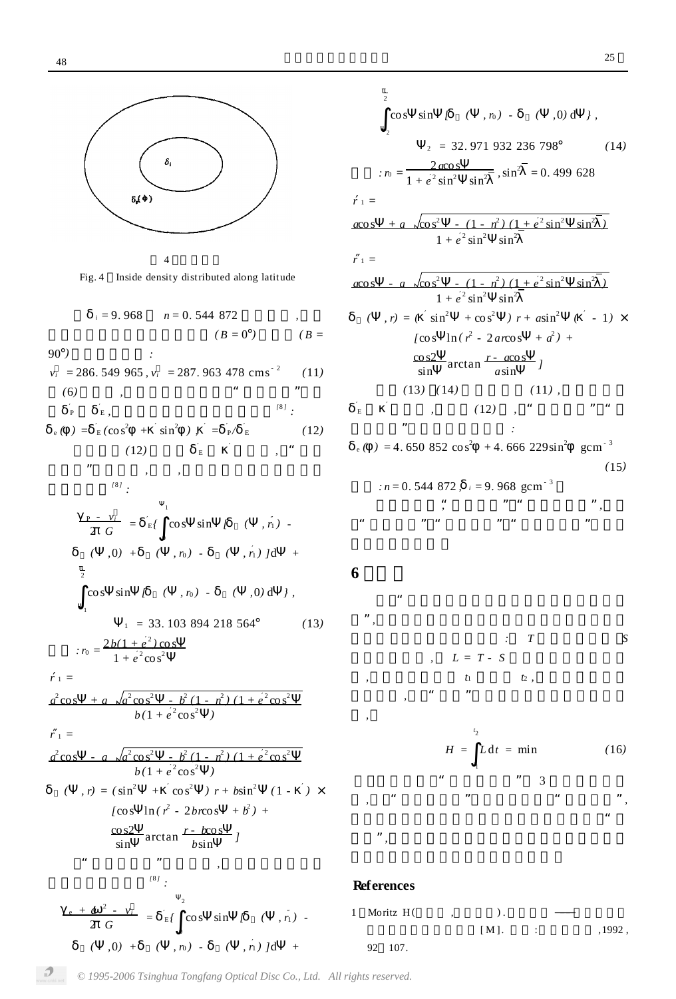

Fig. 4 Inside density distributed along latitude



$$
: n = \frac{2b(1 + e^{2} \cos 1)}{1 + e^{2} \cos^{2} 1}
$$
  

$$
= \frac{1}{2b(1 + e^{2} \cos^{2} 1)} = \frac{1}{2b(1 - e^{2})(1 + e^{2} \cos^{2} 1)}
$$
  

$$
= \frac{b(1 + e^{2} \cos^{2} 1)}{b(1 + e^{2} \cos^{2} 1)}
$$

*r* <sup>1</sup> = *a* 2

$$
r_{1} =
$$
\n
$$
a^{2} \cos - a \sqrt{a^{2} \cos^{2} - b^{2} (1 - n^{2}) (1 + e^{2} \cos^{2} - b)(1 + e^{2} \cos^{2} - b)(1 + e^{2} \cos^{2} - b)(1 + e^{2} \cos^{2} - b)(1 + e^{2} \cos^{2} - b)(1 + e^{2} \cos^{2} - b)(1 - e^{2} - 2 \cos^{2} - b)(1 - e^{2} - 2 \cos^{2} - b)(1 - e^{2} - 2 \cos^{2} - b)(1 - e^{2} - 2 \cos^{2} - b)(1 - e^{2} - 2 \cos^{2} - b)(1 - e^{2} - 2 \cos^{2} - b)(1 - e^{2} - 2 \cos^{2} - b)(1 - e^{2} - 2 \cos^{2} - b)(1 - e^{2} - 2 \cos^{2} - b)(1 - e^{2} - 2 \cos^{2} - b)(1 - e^{2} - 2 \cos^{2} - b)(1 - e^{2} - 2 \cos^{2} - b)(1 - e^{2} - 2 \cos^{2} - b)(1 - e^{2} - 2 \cos^{2} - b)(1 - e^{2} - 2 \cos^{2} - b)(1 - e^{2} - 2 \cos^{2} - b)(1 - e^{2} - 2 \cos^{2} - b)(1 - e^{2} - 2 \cos^{2} - b)(1 - e^{2} - 2 \cos^{2} - b)(1 - e^{2} - 2 \cos^{2} - b)(1 - e^{2} - 2 \cos^{2} - b)(1 - e^{2} - 2 \cos^{2} - b)(1 - e^{2} - 2 \cos^{2} - b)(1 - e^{2} - 2 \cos^{2} - b)(1 - e^{2} - 2 \cos^{2} - b)(1 - e^{2} - 2 \cos^{2} - b)(1 - e^{2} - 2 \cos^{2} - b)(1 - e^{2} - 2 \cos^{2} - b)(1 - e^{2} - 2 \cos^{2} - b)(1 - e^{2} - 2 \cos^{2} - b)(1 - e^{2} - 2 \cos^{2} - b)(1 - e^{2} - 2 \cos^{2} - b)(1 - e^{2} - 2 \cos^{2} - b)(1 - e^{2} - 2 \cos^{2} - b)(1 - e^{2} - 2 \cos^{2} - b)(1 - e^{2} - 2 \cos^{2} - b)(1 - e^{2} - 2 \cos^{2} -
$$

0

 $\overline{2}$ 2 cos sin  $[ ( , n ) - ( , n )$  *(*  $, 0)$  d  $]$ ,  $2 = 32.971932236798°$  (14)  $: r_0 =$ <sup>1</sup> 2 *a*cos  $\frac{2a\cos \theta}{1 + e^2 \sin^2 \theta}$ ,  $\sin^2 \theta = 0.499628$  $r_1 =$ *a*cos + *a* co s  $\sqrt{\cos^2}$ -  $(1 - n^2) (1 + e^2 \sin^2 \sin^2 \theta)$  $1 + e^2 \sin^2 \sin^2 \sin^2$  $r_1 =$  $a\cos - a \sqrt{\cos^2 - (1 - n^2)(1 + e^2 \sin^2 - \sin^2)}$  $1 + e^2 \sin^2 \sin^2 \sin^2$  $(r, r) = ( \sin^2 \theta + \cos^2 \theta) + r + a \sin^2 \theta ( -1) \times r$  $[cos \ \ ln(\ r^2 - 2arcos \ \ +a^2) +$ cos2 sin arctan *r* - *a*cos  $\frac{1}{a \sin}$  *]*  $(13)$   $(14)$   $(11)$  $E$ , (12), " " *:*  $e^{\left( \ \right)} = 4.650852 \cos^2 \ \left( +4.666229 \sin^2 \ \right)$  gcm<sup>-3</sup> *(*15*)*  $: n = 0.544872$ ,  $i = 9.968$  gcm<sup>-3</sup> "*,* "" "*,* " "" "" "

## **6**

" "*, : T S*  $L = T - S$ *, t*<sup>1</sup> *t*<sup>2</sup> *, ,* " " *,*  $H = L dt = min$  (16*) t* 2 *t* 1  $"$  3 *,* " " " "*,* " "*,*

## **References**



*© 1995-2006 Tsinghua Tongfang Optical Disc Co., Ltd. All rights reserved.*